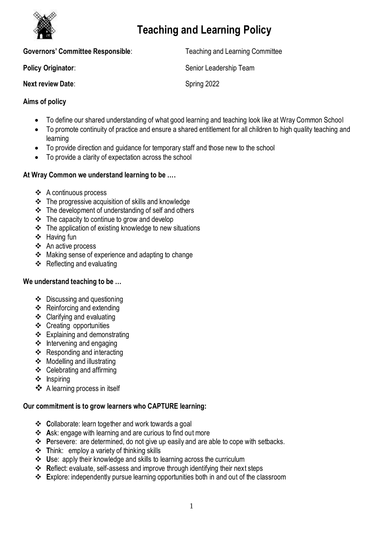

# **Teaching and Learning Policy**

| <b>Governors' Committee Responsible:</b> | <b>Teaching and Learning Committee</b> |
|------------------------------------------|----------------------------------------|
| Policy Originator:                       | Senior Leadership Team                 |
| <b>Next review Date:</b>                 | Spring 2022                            |

# **Aims of policy**

- To define our shared understanding of what good learning and teaching look like at Wray Common School
- To promote continuity of practice and ensure a shared entitlement for all children to high quality teaching and learning
- To provide direction and guidance for temporary staff and those new to the school
- To provide a clarity of expectation across the school

# **At Wray Common we understand learning to be ….**

- ❖ A continuous process
- The progressive acquisition of skills and knowledge
- $\div$  The development of understanding of self and others
- $\div$  The capacity to continue to grow and develop
- $\cdot \cdot$  The application of existing knowledge to new situations
- ❖ Having fun
- ❖ An active process
- Making sense of experience and adapting to change
- $\div$  Reflecting and evaluating

## **We understand teaching to be …**

- Discussing and questioning
- Reinforcing and extending
- Clarifying and evaluating
- Creating opportunities
- Explaining and demonstrating
- $\div$  Intervening and engaging
- $\div$  Responding and interacting
- $\div$  Modelling and illustrating
- Celebrating and affirming
- $\div$  Inspiring
- ❖ A learning process in itself

# **Our commitment is to grow learners who CAPTURE learning:**

- **C**ollaborate: learn together and work towards a goal
- **A**sk: engage with learning and are curious to find out more
- **P**ersevere: are determined, do not give up easily and are able to cope with setbacks.
- **T**hink: employ a variety of thinking skills
- **U**se: apply their knowledge and skills to learning across the curriculum
- **R**eflect: evaluate, self-assess and improve through identifying their next steps
- **E**xplore: independently pursue learning opportunities both in and out of the classroom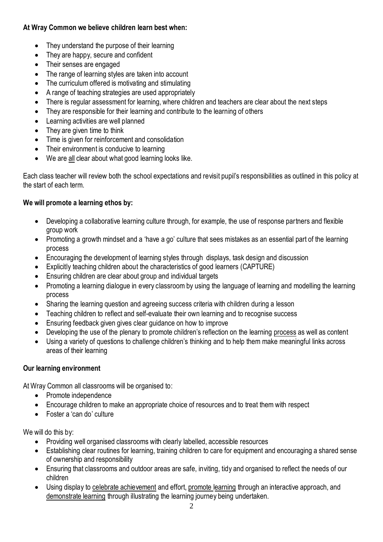# **At Wray Common we believe children learn best when:**

- They understand the purpose of their learning
- They are happy, secure and confident
- Their senses are engaged
- The range of learning styles are taken into account
- The curriculum offered is motivating and stimulating
- A range of teaching strategies are used appropriately
- There is regular assessment for learning, where children and teachers are clear about the next steps
- They are responsible for their learning and contribute to the learning of others
- Learning activities are well planned
- They are given time to think
- Time is given for reinforcement and consolidation
- Their environment is conducive to learning
- We are all clear about what good learning looks like.

Each class teacher will review both the school expectations and revisit pupil's responsibilities as outlined in this policy at the start of each term.

# **We will promote a learning ethos by:**

- Developing a collaborative learning culture through, for example, the use of response partners and flexible group work
- Promoting a growth mindset and a 'have a go' culture that sees mistakes as an essential part of the learning process
- Encouraging the development of learning styles through displays, task design and discussion
- Explicitly teaching children about the characteristics of good learners (CAPTURE)
- Ensuring children are clear about group and individual targets
- Promoting a learning dialogue in every classroom by using the language of learning and modelling the learning process
- Sharing the learning question and agreeing success criteria with children during a lesson
- Teaching children to reflect and self-evaluate their own learning and to recognise success
- Ensuring feedback given gives clear guidance on how to improve
- Developing the use of the plenary to promote children's reflection on the learning process as well as content
- Using a variety of questions to challenge children's thinking and to help them make meaningful links across areas of their learning

## **Our learning environment**

At Wray Common all classrooms will be organised to:

- Promote independence
- Encourage children to make an appropriate choice of resources and to treat them with respect
- **•** Foster a 'can do' culture

We will do this by:

- Providing well organised classrooms with clearly labelled, accessible resources
- Establishing clear routines for learning, training children to care for equipment and encouraging a shared sense of ownership and responsibility
- Ensuring that classrooms and outdoor areas are safe, inviting, tidy and organised to reflect the needs of our children
- Using display to celebrate achievement and effort, promote learning through an interactive approach, and demonstrate learning through illustrating the learning journey being undertaken.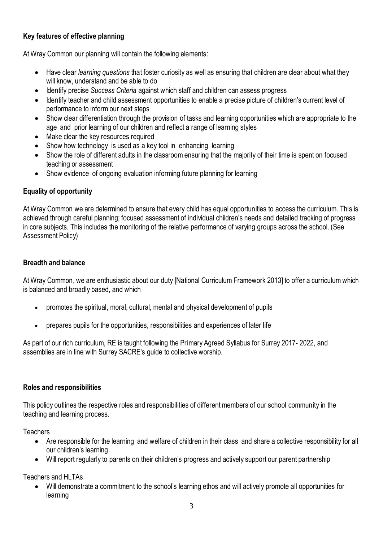# **Key features of effective planning**

At Wray Common our planning will contain the following elements:

- Have clear *learning questions* that foster curiosity as well as ensuring that children are clear about what they will know, understand and be able to do
- Identify precise *Success Criteria* against which staff and children can assess progress
- Identify teacher and child assessment opportunities to enable a precise picture of children's current level of performance to inform our next steps
- Show clear differentiation through the provision of tasks and learning opportunities which are appropriate to the age and prior learning of our children and reflect a range of learning styles
- Make clear the key resources required
- Show how technology is used as a key tool in enhancing learning
- Show the role of different adults in the classroom ensuring that the majority of their time is spent on focused teaching or assessment
- Show evidence of ongoing evaluation informing future planning for learning

## **Equality of opportunity**

At Wray Common we are determined to ensure that every child has equal opportunities to access the curriculum. This is achieved through careful planning; focused assessment of individual children's needs and detailed tracking of progress in core subjects. This includes the monitoring of the relative performance of varying groups across the school. (See Assessment Policy)

#### **Breadth and balance**

At Wray Common, we are enthusiastic about our duty [National Curriculum Framework 2013] to offer a curriculum which is balanced and broadly based, and which

- promotes the spiritual, moral, cultural, mental and physical development of pupils
- prepares pupils for the opportunities, responsibilities and experiences of later life

As part of our rich curriculum, RE is taught following the Primary Agreed Syllabus for Surrey 2017- 2022, and assemblies are in line with Surrey SACRE's guide to collective worship.

#### **Roles and responsibilities**

This policy outlines the respective roles and responsibilities of different members of our school community in the teaching and learning process.

**Teachers** 

- Are responsible for the learning and welfare of children in their class and share a collective responsibility for all our children's learning
- Will report regularly to parents on their children's progress and actively support our parent partnership

Teachers and HI TAs

 Will demonstrate a commitment to the school's learning ethos and will actively promote all opportunities for learning